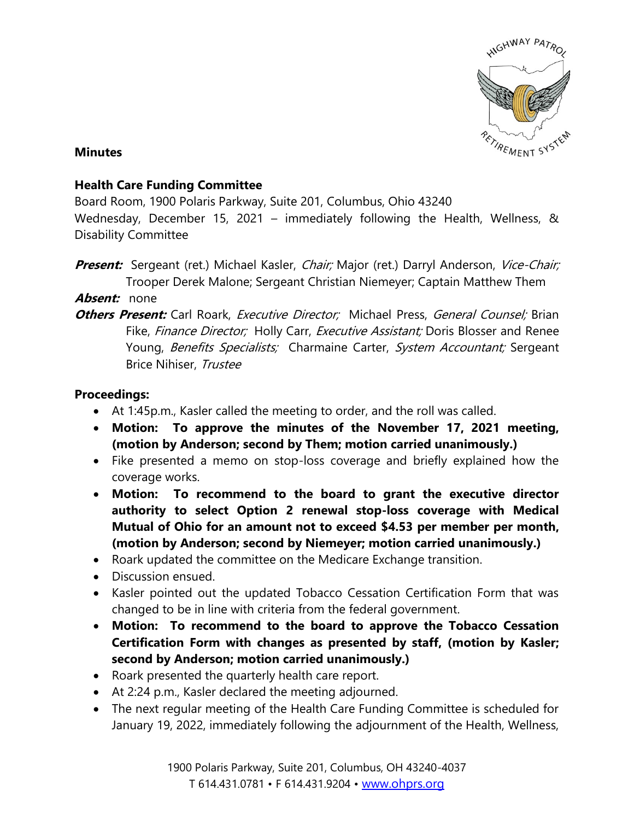

## **Minutes**

## **Health Care Funding Committee**

Board Room, 1900 Polaris Parkway, Suite 201, Columbus, Ohio 43240

Wednesday, December 15, 2021 – immediately following the Health, Wellness, & Disability Committee

**Present:** Sergeant (ret.) Michael Kasler, *Chair;* Major (ret.) Darryl Anderson, Vice-Chair; Trooper Derek Malone; Sergeant Christian Niemeyer; Captain Matthew Them

**Absent:** none

**Others Present:** Carl Roark, *Executive Director*; Michael Press, *General Counsel:* Brian Fike, Finance Director; Holly Carr, Executive Assistant; Doris Blosser and Renee Young, Benefits Specialists; Charmaine Carter, System Accountant; Sergeant Brice Nihiser, Trustee

## **Proceedings:**

- At 1:45p.m., Kasler called the meeting to order, and the roll was called.
- **Motion: To approve the minutes of the November 17, 2021 meeting, (motion by Anderson; second by Them; motion carried unanimously.)**
- Fike presented a memo on stop-loss coverage and briefly explained how the coverage works.
- **Motion: To recommend to the board to grant the executive director authority to select Option 2 renewal stop-loss coverage with Medical Mutual of Ohio for an amount not to exceed \$4.53 per member per month, (motion by Anderson; second by Niemeyer; motion carried unanimously.)**
- Roark updated the committee on the Medicare Exchange transition.
- Discussion ensued.
- Kasler pointed out the updated Tobacco Cessation Certification Form that was changed to be in line with criteria from the federal government.
- **Motion: To recommend to the board to approve the Tobacco Cessation Certification Form with changes as presented by staff, (motion by Kasler; second by Anderson; motion carried unanimously.)**
- Roark presented the quarterly health care report.
- At 2:24 p.m., Kasler declared the meeting adjourned.
- The next regular meeting of the Health Care Funding Committee is scheduled for January 19, 2022, immediately following the adjournment of the Health, Wellness,